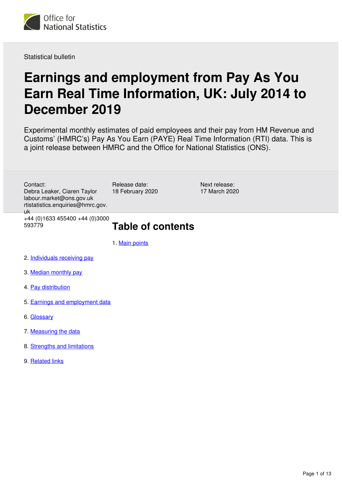

Statistical bulletin

# **Earnings and employment from Pay As You Earn Real Time Information, UK: July 2014 to December 2019**

Experimental monthly estimates of paid employees and their pay from HM Revenue and Customs' (HMRC's) Pay As You Earn (PAYE) Real Time Information (RTI) data. This is a joint release between HMRC and the Office for National Statistics (ONS).

Next release: 17 March 2020 Release date: 18 February 2020 Contact: Debra Leaker, Ciaren Taylor labour.market@ons.gov.uk rtistatistics.enquiries@hmrc.gov. uk +44 (0)1633 455400 +44 (0)3000 593779 **Table of contents**

1. [Main points](#page-1-0)

- 2. [Individuals receiving pay](#page-1-1)
- 3. [Median monthly pay](#page-2-0)
- 4. [Pay distribution](#page-6-0)
- 5. [Earnings and employment data](#page-9-0)
- 6. [Glossary](#page-9-1)
- 7. [Measuring the data](#page-10-0)
- 8. [Strengths and limitations](#page-10-1)
- 9. [Related links](#page-12-0)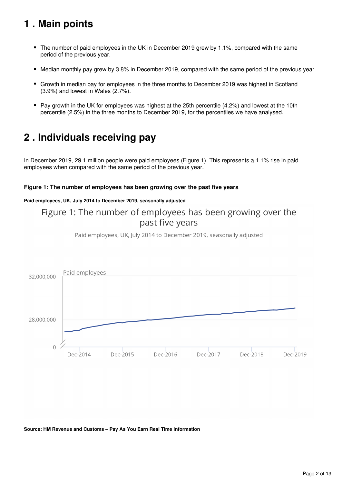## <span id="page-1-0"></span>**1 . Main points**

- The number of paid employees in the UK in December 2019 grew by 1.1%, compared with the same period of the previous year.
- Median monthly pay grew by 3.8% in December 2019, compared with the same period of the previous year.  $\bullet$
- Growth in median pay for employees in the three months to December 2019 was highest in Scotland (3.9%) and lowest in Wales (2.7%).
- Pay growth in the UK for employees was highest at the 25th percentile (4.2%) and lowest at the 10th percentile (2.5%) in the three months to December 2019, for the percentiles we have analysed.

## <span id="page-1-1"></span>**2 . Individuals receiving pay**

In December 2019, 29.1 million people were paid employees (Figure 1). This represents a 1.1% rise in paid employees when compared with the same period of the previous year.

#### **Figure 1: The number of employees has been growing over the past five years**

#### **Paid employees, UK, July 2014 to December 2019, seasonally adjusted**

## Figure 1: The number of employees has been growing over the past five years

Paid employees, UK, July 2014 to December 2019, seasonally adjusted



**Source: HM Revenue and Customs – Pay As You Earn Real Time Information**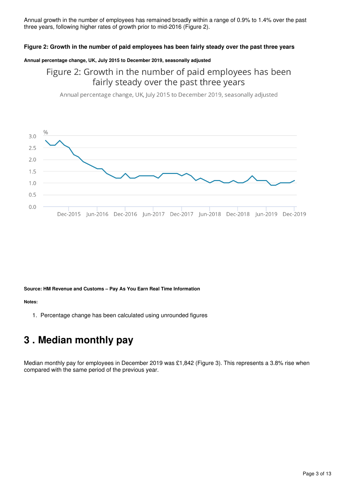Annual growth in the number of employees has remained broadly within a range of 0.9% to 1.4% over the past three years, following higher rates of growth prior to mid-2016 (Figure 2).

#### **Figure 2: Growth in the number of paid employees has been fairly steady over the past three years**

#### **Annual percentage change, UK, July 2015 to December 2019, seasonally adjusted**

## Figure 2: Growth in the number of paid employees has been fairly steady over the past three years

Annual percentage change, UK, July 2015 to December 2019, seasonally adjusted



#### **Source: HM Revenue and Customs – Pay As You Earn Real Time Information**

#### **Notes:**

1. Percentage change has been calculated using unrounded figures

## <span id="page-2-0"></span>**3 . Median monthly pay**

Median monthly pay for employees in December 2019 was £1,842 (Figure 3). This represents a 3.8% rise when compared with the same period of the previous year.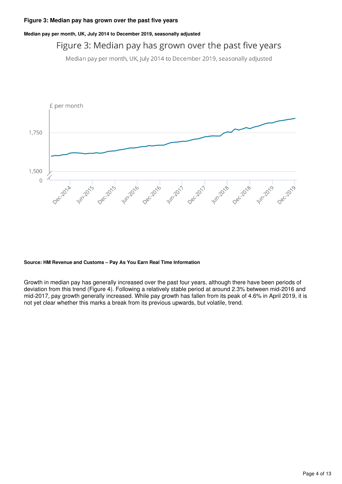#### **Median pay per month, UK, July 2014 to December 2019, seasonally adjusted**

## Figure 3: Median pay has grown over the past five years

Median pay per month, UK, July 2014 to December 2019, seasonally adjusted



#### **Source: HM Revenue and Customs – Pay As You Earn Real Time Information**

Growth in median pay has generally increased over the past four years, although there have been periods of deviation from this trend (Figure 4). Following a relatively stable period at around 2.3% between mid-2016 and mid-2017, pay growth generally increased. While pay growth has fallen from its peak of 4.6% in April 2019, it is not yet clear whether this marks a break from its previous upwards, but volatile, trend.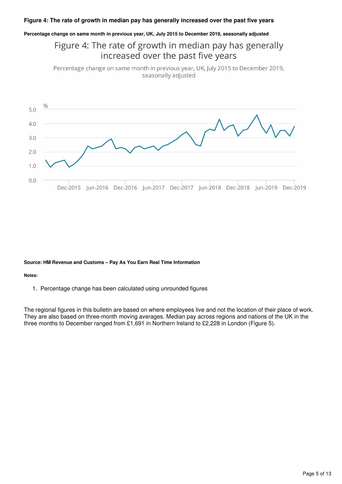#### **Figure 4: The rate of growth in median pay has generally increased over the past five years**

#### **Percentage change on same month in previous year, UK, July 2015 to December 2019, seasonally adjusted**

## Figure 4: The rate of growth in median pay has generally increased over the past five years

Percentage change on same month in previous year, UK, July 2015 to December 2019, seasonally adjusted



#### **Source: HM Revenue and Customs – Pay As You Earn Real Time Information**

#### **Notes:**

1. Percentage change has been calculated using unrounded figures

The regional figures in this bulletin are based on where employees live and not the location of their place of work. They are also based on three-month moving averages. Median pay across regions and nations of the UK in the three months to December ranged from £1,691 in Northern Ireland to £2,228 in London (Figure 5).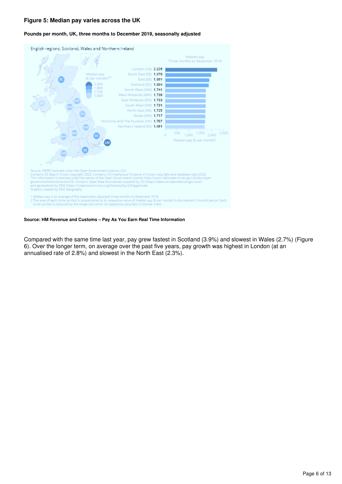#### **Figure 5: Median pay varies across the UK**

#### English regions, Scotland, Wales and Northern Ireland Median pay Three months to December 2019 London (LN) 2,228 South East (SE) 1,970 dian pay  $(E per month)^{1,2}$ East (EE) 1,891 2,000 Scotland (SC) 1.864 ,800<br>700, North West (NW) 1,741 West Midlands (WM) 1,738 East Midlands (EM) 1,733 South West (SW) 1,731 North East (NE) 1,725 Wales (WA) 1,717 Yorkshire and The Humber (YH) 1,707 Northern Ireland (NI) 1,691 2,500  $500$   $1,000$   $1,500$   $2,000$ Median pay (£ per month)<sup>1</sup> Source: HMRC licensed under the Open Government Licence v.3.0.<br>Contains OS data © Crown copyright 2020. Contains LPS Intellectual Property © Crown copyright and database right 2020.<br>This information is licensed under the t Graphic created by ONS Geography 1 Median pay is an average of the (seasonally adjusted) three months to December 2019.<br>2 The area of each circle symbol is proportional to its respective value of median pay (£ per month) in the relevant 3 month period. Ea

#### **Pounds per month, UK, three months to December 2019, seasonally adjusted**

**Source: HM Revenue and Customs – Pay As You Earn Real Time Information**

Compared with the same time last year, pay grew fastest in Scotland (3.9%) and slowest in Wales (2.7%) (Figure 6). Over the longer term, on average over the past five years, pay growth was highest in London (at an annualised rate of 2.8%) and slowest in the North East (2.3%).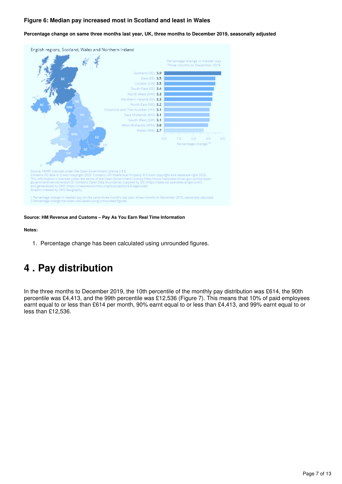#### **Figure 6: Median pay increased most in Scotland and least in Wales**

#### **Percentage change on same three months last year, UK, three months to December 2019, seasonally adjusted**



#### **Source: HM Revenue and Customs – Pay As You Earn Real Time Information**

#### **Notes:**

1. Percentage change has been calculated using unrounded figures.

## <span id="page-6-0"></span>**4 . Pay distribution**

In the three months to December 2019, the 10th percentile of the monthly pay distribution was £614, the 90th percentile was £4,413, and the 99th percentile was £12,536 (Figure 7). This means that 10% of paid employees earnt equal to or less than £614 per month, 90% earnt equal to or less than £4,413, and 99% earnt equal to or less than £12,536.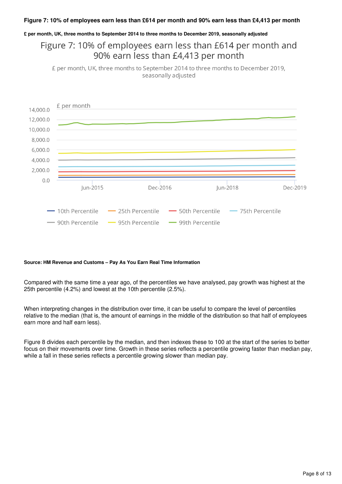#### **Figure 7: 10% of employees earn less than £614 per month and 90% earn less than £4,413 per month**

#### **£ per month, UK, three months to September 2014 to three months to December 2019, seasonally adjusted**

## Figure 7: 10% of employees earn less than £614 per month and 90% earn less than £4,413 per month

£ per month, UK, three months to September 2014 to three months to December 2019, seasonally adjusted



#### **Source: HM Revenue and Customs – Pay As You Earn Real Time Information**

Compared with the same time a year ago, of the percentiles we have analysed, pay growth was highest at the 25th percentile (4.2%) and lowest at the 10th percentile (2.5%).

When interpreting changes in the distribution over time, it can be useful to compare the level of percentiles relative to the median (that is, the amount of earnings in the middle of the distribution so that half of employees earn more and half earn less).

Figure 8 divides each percentile by the median, and then indexes these to 100 at the start of the series to better focus on their movements over time. Growth in these series reflects a percentile growing faster than median pay, while a fall in these series reflects a percentile growing slower than median pay.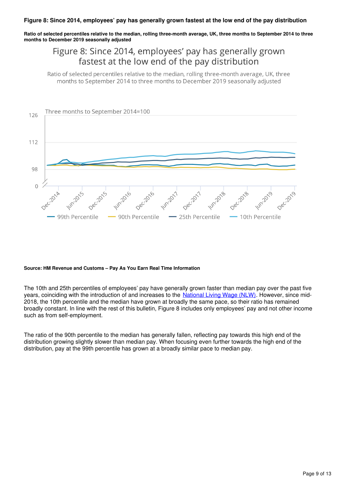#### **Figure 8: Since 2014, employees' pay has generally grown fastest at the low end of the pay distribution**

**Ratio of selected percentiles relative to the median, rolling three-month average, UK, three months to September 2014 to three months to December 2019 seasonally adjusted**

## Figure 8: Since 2014, employees' pay has generally grown fastest at the low end of the pay distribution

Ratio of selected percentiles relative to the median, rolling three-month average, UK, three months to September 2014 to three months to December 2019 seasonally adjusted



#### **Source: HM Revenue and Customs – Pay As You Earn Real Time Information**

The 10th and 25th percentiles of employees' pay have generally grown faster than median pay over the past five years, coinciding with the introduction of and increases to the National Living Wage (NLW)[.](https://www.gov.uk/national-minimum-wage-rates) However, since mid-2018, the 10th percentile and the median have grown at broadly the same pace, so their ratio has remained broadly constant. In line with the rest of this bulletin, Figure 8 includes only employees' pay and not other income such as from self-employment.

The ratio of the 90th percentile to the median has generally fallen, reflecting pay towards this high end of the distribution growing slightly slower than median pay. When focusing even further towards the high end of the distribution, pay at the 99th percentile has grown at a broadly similar pace to median pay.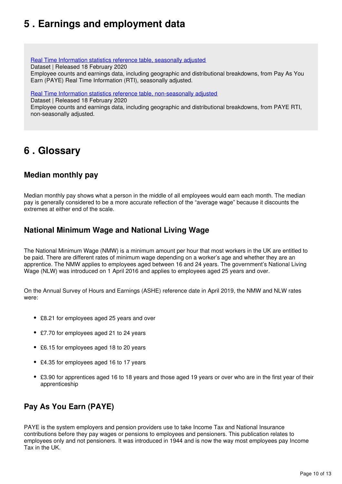## <span id="page-9-0"></span>**5 . Earnings and employment data**

[Real Time Information statistics reference table, seasonally adjusted](https://www.ons.gov.uk/employmentandlabourmarket/peopleinwork/earningsandworkinghours/datasets/realtimeinformationstatisticsreferencetableseasonallyadjusted)

Dataset | Released 18 February 2020

Employee counts and earnings data, including geographic and distributional breakdowns, from Pay As You Earn (PAYE) Real Time Information (RTI), seasonally adjusted.

[Real Time Information statistics reference table, non-seasonally adjusted](https://www.ons.gov.uk/employmentandlabourmarket/peopleinwork/earningsandworkinghours/datasets/realtimeinformationstatisticsreferencetablenonseasonallyadjusted)

Dataset | Released 18 February 2020

Employee counts and earnings data, including geographic and distributional breakdowns, from PAYE RTI, non-seasonally adjusted.

## <span id="page-9-1"></span>**6 . Glossary**

### **Median monthly pay**

Median monthly pay shows what a person in the middle of all employees would earn each month. The median pay is generally considered to be a more accurate reflection of the "average wage" because it discounts the extremes at either end of the scale.

### **National Minimum Wage and National Living Wage**

The National Minimum Wage (NMW) is a minimum amount per hour that most workers in the UK are entitled to be paid. There are different rates of minimum wage depending on a worker's age and whether they are an apprentice. The NMW applies to employees aged between 16 and 24 years. The government's National Living Wage (NLW) was introduced on 1 April 2016 and applies to employees aged 25 years and over.

On the Annual Survey of Hours and Earnings (ASHE) reference date in April 2019, the NMW and NLW rates were:

- £8.21 for employees aged 25 years and over
- £7.70 for employees aged 21 to 24 years
- £6.15 for employees aged 18 to 20 years
- £4.35 for employees aged 16 to 17 years
- £3.90 for apprentices aged 16 to 18 years and those aged 19 years or over who are in the first year of their apprenticeship

## **Pay As You Earn (PAYE)**

PAYE is the system employers and pension providers use to take Income Tax and National Insurance contributions before they pay wages or pensions to employees and pensioners. This publication relates to employees only and not pensioners. It was introduced in 1944 and is now the way most employees pay Income Tax in the UK.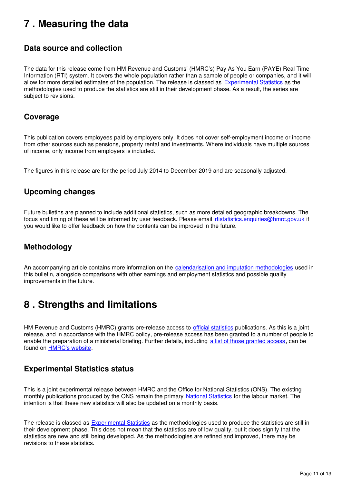## <span id="page-10-0"></span>**7 . Measuring the data**

### **Data source and collection**

The data for this release come from HM Revenue and Customs' (HMRC's) Pay As You Earn (PAYE) Real Time Information (RTI) system. It covers the whole population rather than a sample of people or companies, and it will allow for more detailed estimates of the population. The release is classed as [Experimental Statistics](https://www.ons.gov.uk/methodology/methodologytopicsandstatisticalconcepts/guidetoexperimentalstatistics) as the methodologies used to produce the statistics are still in their development phase. As a result, the series are subject to revisions.

### **Coverage**

This publication covers employees paid by employers only. It does not cover self-employment income or income from other sources such as pensions, property rental and investments. Where individuals have multiple sources of income, only income from employers is included.

The figures in this release are for the period July 2014 to December 2019 and are seasonally adjusted.

### **Upcoming changes**

Future bulletins are planned to include additional statistics, such as more detailed geographic breakdowns. The focus and timing of these will be informed by user feedback. Please email rtistatistics.enquiries@hmrc.gov.uk if you would like to offer feedback on how the contents can be improved in the future.

### **Methodology**

An accompanying article contains more information on the [calendarisation and imputation methodologies](https://www.ons.gov.uk/employmentandlabourmarket/peopleinwork/earningsandworkinghours/articles/newmethodsformonthlyearningsandemploymentestimatesfrompayasyouearnrealtimeinformationpayertidata/december2019) used in this bulletin, alongside comparisons with other earnings and employment statistics and possible quality improvements in the future.

## <span id="page-10-1"></span>**8 . Strengths and limitations**

HM Revenue and Customs (HMRC) grants pre-release access to [official statistics](https://www.statisticsauthority.gov.uk/about-the-authority/uk-statistical-system/types-of-official-statistics/) publications. As this is a joint release, and in accordance with the HMRC policy, pre-release access has been granted to a number of people to enable the preparation of a ministerial briefing. Further details, including [a list of those granted access](https://www.gov.uk/government/statistics/hmrc-statistics-pre-release-access-list), can be found on **HMRC's website**[.](https://www.gov.uk/government/organisations/hm-revenue-customs)

### **Experimental Statistics status**

This is a joint experimental release between HMRC and the Office for National Statistics (ONS). The existing monthly publications produced by the ONS remain the primary [National Statistics](https://www.statisticsauthority.gov.uk/about-the-authority/uk-statistical-system/types-of-official-statistics/) for the labour market. The intention is that these new statistics will also be updated on a monthly basis.

The release is classed as **[Experimental Statistics](https://www.ons.gov.uk/methodology/methodologytopicsandstatisticalconcepts/guidetoexperimentalstatistics)** as the methodologies used to produce the statistics are still in their development phase. This does not mean that the statistics are of low quality, but it does signify that the statistics are new and still being developed. As the methodologies are refined and improved, there may be revisions to these statistics.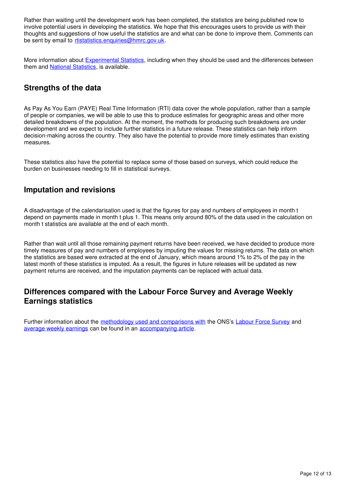Rather than waiting until the development work has been completed, the statistics are being published now to involve potential users in developing the statistics. We hope that this encourages users to provide us with their thoughts and suggestions of how useful the statistics are and what can be done to improve them. Comments can be sent by email to rtistatistics.enquiries@hmrc.gov.uk.

More information about Experimental Statistics[,](https://www.ons.gov.uk/methodology/methodologytopicsandstatisticalconcepts/guidetoexperimentalstatistics) including when they should be used and the differences between them and National Statistics, is available.

### **Strengths of the data**

As Pay As You Earn (PAYE) Real Time Information (RTI) data cover the whole population, rather than a sample of people or companies, we will be able to use this to produce estimates for geographic areas and other more detailed breakdowns of the population. At the moment, the methods for producing such breakdowns are under development and we expect to include further statistics in a future release. These statistics can help inform decision-making across the country. They also have the potential to provide more timely estimates than existing measures.

These statistics also have the potential to replace some of those based on surveys, which could reduce the burden on businesses needing to fill in statistical surveys.

### **Imputation and revisions**

A disadvantage of the calendarisation used is that the figures for pay and numbers of employees in month t depend on payments made in month t plus 1. This means only around 80% of the data used in the calculation on month t statistics are available at the end of each month.

Rather than wait until all those remaining payment returns have been received, we have decided to produce more timely measures of pay and numbers of employees by imputing the values for missing returns. The data on which the statistics are based were extracted at the end of January, which means around 1% to 2% of the pay in the latest month of these statistics is imputed. As a result, the figures in future releases will be updated as new payment returns are received, and the imputation payments can be replaced with actual data.

### **Differences compared with the Labour Force Survey and Average Weekly Earnings statistics**

Further information about the [methodology used and comparisons with](https://www.ons.gov.uk/employmentandlabourmarket/peopleinwork/earningsandworkinghours/articles/newmethodsformonthlyearningsandemploymentestimatesfrompayasyouearnrealtimeinformationpayertidata/december2019) the ONS's [Labour Force Survey](https://www.ons.gov.uk/surveys/informationforhouseholdsandindividuals/householdandindividualsurveys/labourforcesurvey) and [average weekly earnings](https://www.ons.gov.uk/employmentandlabourmarket/peopleinwork/employmentandemployeetypes/bulletins/averageweeklyearningsingreatbritain/latest) can be found in an accompanying article.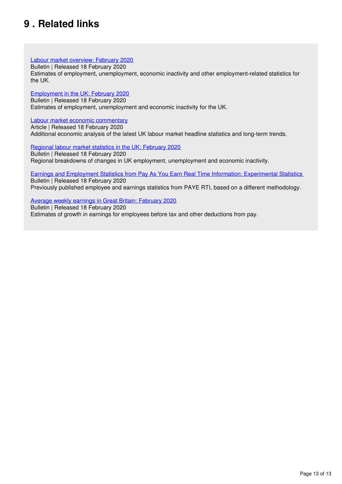## <span id="page-12-0"></span>**9 . Related links**

[Labour market overview: February 2020](https://www.ons.gov.uk/employmentandlabourmarket/peopleinwork/employmentandemployeetypes/bulletins/uklabourmarket/latest)

Bulletin | Released 18 February 2020

Estimates of employment, unemployment, economic inactivity and other employment-related statistics for the UK.

[Employment in the UK: February 2020](https://www.ons.gov.uk/employmentandlabourmarket/peopleinwork/employmentandemployeetypes/bulletins/employmentintheuk/latest)

Bulletin | Released 18 February 2020 Estimates of employment, unemployment and economic inactivity for the UK.

[Labour market economic commentary](https://www.ons.gov.uk/employmentandlabourmarket/peopleinwork/employmentandemployeetypes/articles/labourmarketeconomiccommentary/latest)

Article | Released 18 February 2020 Additional economic analysis of the latest UK labour market headline statistics and long-term trends.

[Regional labour market statistics in the UK: February 2020](https://www.ons.gov.uk/employmentandlabourmarket/peopleinwork/employmentandemployeetypes/bulletins/regionallabourmarket/latest)

Bulletin | Released 18 February 2020 Regional breakdowns of changes in UK employment, unemployment and economic inactivity.

[Earnings and Employment Statistics from Pay As You Earn Real Time Information: Experimental Statistics](https://www.gov.uk/government/statistics/uk-real-time-information-experimental-statistics) Bulletin | Released 18 February 2020

Previously published employee and earnings statistics from PAYE RTI, based on a different methodology.

[Average weekly earnings in Great Britain: February 2020](https://www.ons.gov.uk/employmentandlabourmarket/peopleinwork/employmentandemployeetypes/bulletins/averageweeklyearningsingreatbritain/latest)

Bulletin | Released 18 February 2020

Estimates of growth in earnings for employees before tax and other deductions from pay.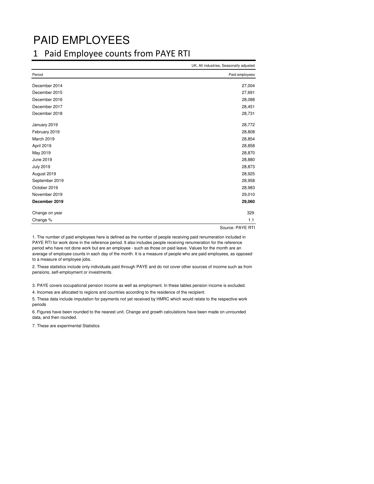## PAID EMPLOYEES

### 1 Paid Employee counts from PAYE RTI

|                  | UK, All industries, Seasonally adjusted |
|------------------|-----------------------------------------|
| Period           | Paid employees                          |
| December 2014    | 27,004                                  |
| December 2015    | 27,691                                  |
| December 2016    | 28,088                                  |
| December 2017    | 28,451                                  |
| December 2018    | 28,731                                  |
| January 2019     | 28,772                                  |
| February 2019    | 28,808                                  |
| March 2019       | 28,854                                  |
| April 2019       | 28,858                                  |
| May 2019         | 28,870                                  |
| June 2019        | 28,880                                  |
| <b>July 2019</b> | 28,873                                  |
| August 2019      | 28,925                                  |
| September 2019   | 28,958                                  |
| October 2019     | 28,983                                  |
| November 2019    | 29,010                                  |
| December 2019    | 29,060                                  |
| Change on year   | 329                                     |
| Change %         | 1.1                                     |

Source: PAYE RTI

1. The number of paid employees here is defined as the number of people receiving paid renumeration included in PAYE RTI for work done in the reference period. It also includes people receiving renumeration for the reference period who have not done work but are an employee - such as those on paid leave. Values for the month are an average of employee counts in each day of the month. It is a measure of people who are paid employees, as opposed to a measure of employee jobs.

2. These statistics include only individuals paid through PAYE and do not cover other sources of income such as from pensions, self-employment or investments.

3. PAYE covers occupational pension income as well as employment. In these tables pension income is excluded.

4. Incomes are allocated to regions and countries according to the residence of the recipient.

5. These data include imputation for payments not yet received by HMRC which would relate to the respective work periods

6. Figures have been rounded to the nearest unit. Change and growth calculations have been made on unrounded data, and then rounded.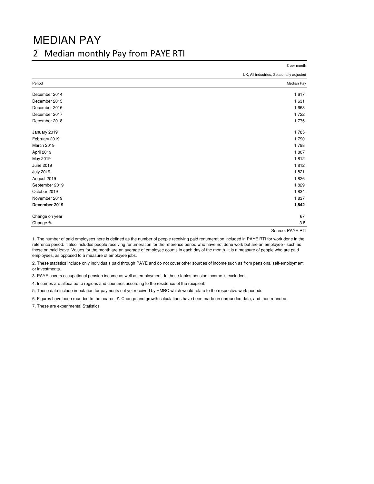## MEDIAN PAY

### 2 Median monthly Pay from PAYE RTI

|                  | £ per month                             |
|------------------|-----------------------------------------|
|                  | UK, All industries, Seasonally adjusted |
| Period           | Median Pay                              |
| December 2014    | 1,617                                   |
| December 2015    | 1,631                                   |
| December 2016    | 1,668                                   |
| December 2017    | 1,722                                   |
| December 2018    | 1,775                                   |
| January 2019     | 1,785                                   |
| February 2019    | 1,790                                   |
| March 2019       | 1,798                                   |
| April 2019       | 1,807                                   |
| May 2019         | 1,812                                   |
| June 2019        | 1,812                                   |
| <b>July 2019</b> | 1,821                                   |
| August 2019      | 1,826                                   |
| September 2019   | 1,829                                   |
| October 2019     | 1,834                                   |
| November 2019    | 1,837                                   |
| December 2019    | 1,842                                   |
| Change on year   | 67                                      |
| Change %         | 3.8                                     |
|                  | Source: PAYE RTI                        |

1. The number of paid employees here is defined as the number of people receiving paid renumeration included in PAYE RTI for work done in the reference period. It also includes people receiving renumeration for the reference period who have not done work but are an employee - such as those on paid leave. Values for the month are an average of employee counts in each day of the month. It is a measure of people who are paid employees, as opposed to a measure of employee jobs.

2. These statistics include only individuals paid through PAYE and do not cover other sources of income such as from pensions, self-employment or investments.

3. PAYE covers occupational pension income as well as employment. In these tables pension income is excluded.

4. Incomes are allocated to regions and countries according to the residence of the recipient.

5. These data include imputation for payments not yet received by HMRC which would relate to the respective work periods

6. Figures have been rounded to the nearest £. Change and growth calculations have been made on unrounded data, and then rounded.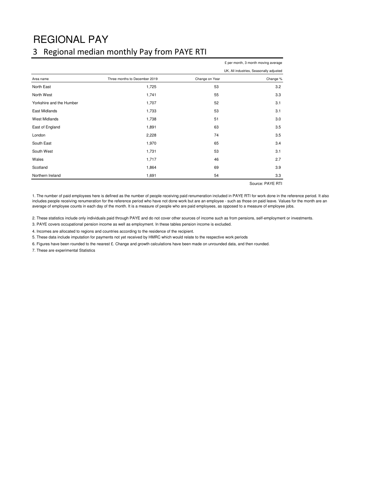# REGIONAL PAY

## 3 Regional median monthly Pay from PAYE RTI

|                          |                               |                | £ per month, 3 month moving average          |
|--------------------------|-------------------------------|----------------|----------------------------------------------|
|                          |                               |                | UK, All industries, Seasonally adjusted      |
| Area name                | Three months to December 2019 | Change on Year | Change %                                     |
| North East               | 1,725                         | 53             | 3.2                                          |
| North West               | 1,741                         | 55             | 3.3                                          |
| Yorkshire and the Humber | 1,707                         | 52             | 3.1                                          |
| East Midlands            | 1,733                         | 53             | 3.1                                          |
| <b>West Midlands</b>     | 1,738                         | 51             | 3.0                                          |
| East of England          | 1,891                         | 63             | 3.5                                          |
| London                   | 2,228                         | 74             | 3.5                                          |
| South East               | 1,970                         | 65             | 3.4                                          |
| South West               | 1,731                         | 53             | 3.1                                          |
| Wales                    | 1,717                         | 46             | 2.7                                          |
| Scotland                 | 1,864                         | 69             | 3.9                                          |
| Northern Ireland         | 1,691                         | 54             | 3.3                                          |
|                          |                               |                | $\sim$<br>$\sim$ $\sim$ $\sim$ $\sim$ $\sim$ |

Source: PAYE RTI

1. The number of paid employees here is defined as the number of people receiving paid renumeration included in PAYE RTI for work done in the reference period. It also includes people receiving renumeration for the reference period who have not done work but are an employee - such as those on paid leave. Values for the month are an average of employee counts in each day of the month. It is a measure of people who are paid employees, as opposed to a measure of employee jobs.

2. These statistics include only individuals paid through PAYE and do not cover other sources of income such as from pensions, self-employment or investments.

3. PAYE covers occupational pension income as well as employment. In these tables pension income is excluded.

4. Incomes are allocated to regions and countries according to the residence of the recipient.

5. These data include imputation for payments not yet received by HMRC which would relate to the respective work periods

6. Figures have been rounded to the nearest £. Change and growth calculations have been made on unrounded data, and then rounded.